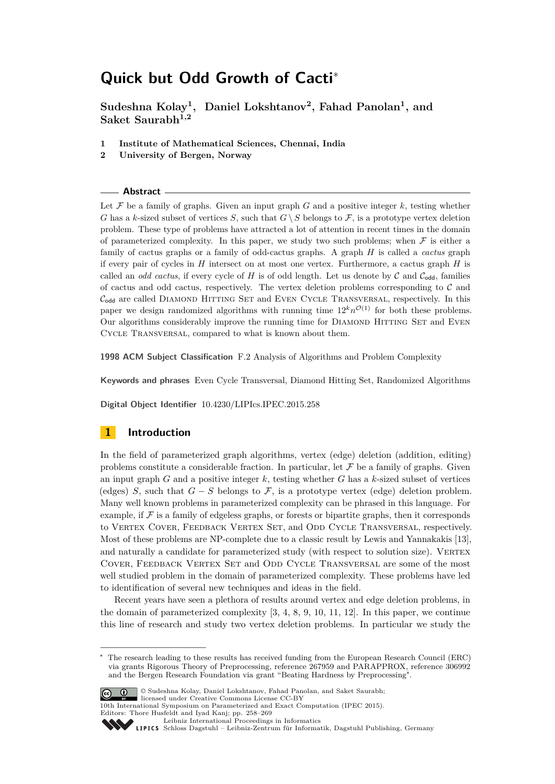# **Quick but Odd Growth of Cacti**<sup>∗</sup>

**Sudeshna Kolay<sup>1</sup> , Daniel Lokshtanov<sup>2</sup> , Fahad Panolan<sup>1</sup> , and Saket Saurabh1,2**

- **1 Institute of Mathematical Sciences, Chennai, India**
- **2 University of Bergen, Norway**

#### **Abstract**

Let  $\mathcal F$  be a family of graphs. Given an input graph  $G$  and a positive integer  $k$ , testing whether *G* has a *k*-sized subset of vertices *S*, such that  $G \setminus S$  belongs to F, is a prototype vertex deletion problem. These type of problems have attracted a lot of attention in recent times in the domain of parameterized complexity. In this paper, we study two such problems; when  $\mathcal F$  is either a family of cactus graphs or a family of odd-cactus graphs. A graph *H* is called a *cactus* graph if every pair of cycles in *H* intersect on at most one vertex. Furthermore, a cactus graph *H* is called an *odd cactus*, if every cycle of  $H$  is of odd length. Let us denote by  $C$  and  $C_{odd}$ , families of cactus and odd cactus, respectively. The vertex deletion problems corresponding to  $\mathcal C$  and  $C_{\text{odd}}$  are called DIAMOND HITTING SET and EVEN CYCLE TRANSVERSAL, respectively. In this paper we design randomized algorithms with running time  $12<sup>k</sup>n<sup>O(1)</sup>$  for both these problems. Our algorithms considerably improve the running time for DIAMOND HITTING SET and EVEN Cycle Transversal, compared to what is known about them.

**1998 ACM Subject Classification** F.2 Analysis of Algorithms and Problem Complexity

**Keywords and phrases** Even Cycle Transversal, Diamond Hitting Set, Randomized Algorithms

**Digital Object Identifier** [10.4230/LIPIcs.IPEC.2015.258](http://dx.doi.org/10.4230/LIPIcs.IPEC.2015.258)

## **1 Introduction**

In the field of parameterized graph algorithms, vertex (edge) deletion (addition, editing) problems constitute a considerable fraction. In particular, let  $\mathcal F$  be a family of graphs. Given an input graph  $G$  and a positive integer  $k$ , testing whether  $G$  has a  $k$ -sized subset of vertices (edges) *S*, such that  $G-S$  belongs to  $\mathcal F$ , is a prototype vertex (edge) deletion problem. Many well known problems in parameterized complexity can be phrased in this language. For example, if  $\mathcal F$  is a family of edgeless graphs, or forests or bipartite graphs, then it corresponds to VERTEX COVER, FEEDBACK VERTEX SET, and ODD CYCLE TRANSVERSAL, respectively. Most of these problems are NP-complete due to a classic result by Lewis and Yannakakis [\[13\]](#page-11-0), and naturally a candidate for parameterized study (with respect to solution size). VERTEX COVER, FEEDBACK VERTEX SET and ODD CYCLE TRANSVERSAL are some of the most well studied problem in the domain of parameterized complexity. These problems have led to identification of several new techniques and ideas in the field.

Recent years have seen a plethora of results around vertex and edge deletion problems, in the domain of parameterized complexity [\[3,](#page-11-1) [4,](#page-11-2) [8,](#page-11-3) [9,](#page-11-4) [10,](#page-11-5) [11,](#page-11-6) [12\]](#page-11-7). In this paper, we continue this line of research and study two vertex deletion problems. In particular we study the

The research leading to these results has received funding from the European Research Council (ERC) via grants Rigorous Theory of Preprocessing, reference 267959 and PARAPPROX, reference 306992 and the Bergen Research Foundation via grant "Beating Hardness by Preprocessing".



<sup>©</sup> Sudeshna Kolay, Daniel Lokshtanov, Fahad Panolan, and Saket Saurabh; licensed under Creative Commons License CC-BY

<sup>10</sup>th International Symposium on Parameterized and Exact Computation (IPEC 2015). Editors: Thore Husfeldt and Iyad Kanj; pp. 258[–269](#page-11-8)

[Leibniz International Proceedings in Informatics](http://www.dagstuhl.de/lipics/)

Leibniz international Froceedings in informatik, Dagstuhl Publishing, Germany<br>LIPICS [Schloss Dagstuhl – Leibniz-Zentrum für Informatik, Dagstuhl Publishing, Germany](http://www.dagstuhl.de)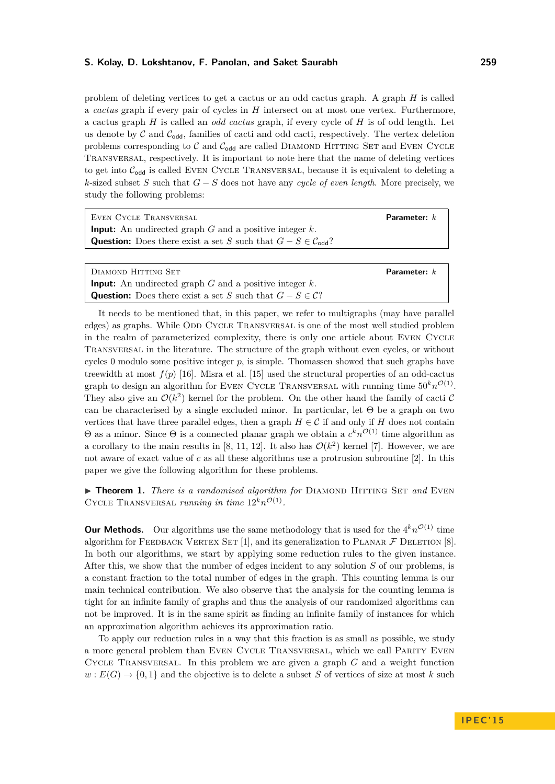problem of deleting vertices to get a cactus or an odd cactus graph. A graph *H* is called a *cactus* graph if every pair of cycles in *H* intersect on at most one vertex. Furthermore, a cactus graph *H* is called an *odd cactus* graph, if every cycle of *H* is of odd length. Let us denote by  $\mathcal C$  and  $\mathcal C_{\text{odd}}$ , families of cacti and odd cacti, respectively. The vertex deletion problems corresponding to  $C$  and  $C_{\text{odd}}$  are called DIAMOND HITTING SET and EVEN CYCLE Transversal, respectively. It is important to note here that the name of deleting vertices to get into  $C_{\text{odd}}$  is called EVEN CYCLE TRANSVERSAL, because it is equivalent to deleting a *k*-sized subset *S* such that *G* − *S* does not have any *cycle of even length*. More precisely, we study the following problems:

| EVEN CYCLE TRANSVERSAL                                                              | Parameter: $k$ |
|-------------------------------------------------------------------------------------|----------------|
| <b>Input:</b> An undirected graph $G$ and a positive integer $k$ .                  |                |
| <b>Question:</b> Does there exist a set S such that $G - S \in \mathcal{C}_{odd}$ ? |                |

| DIAMOND HITTING SET                                                           | <b>Parameter:</b> $k$ |
|-------------------------------------------------------------------------------|-----------------------|
| <b>Input:</b> An undirected graph G and a positive integer $k$ .              |                       |
| <b>Question:</b> Does there exist a set S such that $G - S \in \mathcal{C}$ ? |                       |

It needs to be mentioned that, in this paper, we refer to multigraphs (may have parallel edges) as graphs. While ODD CYCLE TRANSVERSAL is one of the most well studied problem in the realm of parameterized complexity, there is only one article about Even Cycle Transversal in the literature. The structure of the graph without even cycles, or without cycles 0 modulo some positive integer *p*, is simple. Thomassen showed that such graphs have treewidth at most  $f(p)$  [\[16\]](#page-11-9). Misra et al. [\[15\]](#page-11-10) used the structural properties of an odd-cactus graph to design an algorithm for EVEN CYCLE TRANSVERSAL with running time  $50^k n^{\mathcal{O}(1)}$ . They also give an  $\mathcal{O}(k^2)$  kernel for the problem. On the other hand the family of cacti C can be characterised by a single excluded minor. In particular, let  $\Theta$  be a graph on two vertices that have three parallel edges, then a graph  $H \in \mathcal{C}$  if and only if *H* does not contain  $\Theta$  as a minor. Since  $\Theta$  is a connected planar graph we obtain a  $c^k n^{\mathcal{O}(1)}$  time algorithm as a corollary to the main results in [\[8,](#page-11-3) [11,](#page-11-6) [12\]](#page-11-7). It also has  $\mathcal{O}(k^2)$  kernel [\[7\]](#page-11-11). However, we are not aware of exact value of *c* as all these algorithms use a protrusion subroutine [\[2\]](#page-11-12). In this paper we give the following algorithm for these problems.

▶ **Theorem 1.** *There is a randomised algorithm for* DIAMOND HITTING SET *and* EVEN CYCLE TRANSVERSAL *running in time*  $12^k n^{\mathcal{O}(1)}$ .

**Our Methods.** Our algorithms use the same methodology that is used for the  $4^k n^{\mathcal{O}(1)}$  time algorithm for FEEDBACK VERTEX SET [\[1\]](#page-11-13), and its generalization to PLANAR  $\mathcal F$  DELETION [\[8\]](#page-11-3). In both our algorithms, we start by applying some reduction rules to the given instance. After this, we show that the number of edges incident to any solution *S* of our problems, is a constant fraction to the total number of edges in the graph. This counting lemma is our main technical contribution. We also observe that the analysis for the counting lemma is tight for an infinite family of graphs and thus the analysis of our randomized algorithms can not be improved. It is in the same spirit as finding an infinite family of instances for which an approximation algorithm achieves its approximation ratio.

To apply our reduction rules in a way that this fraction is as small as possible, we study a more general problem than Even Cycle Transversal, which we call Parity Even Cycle Transversal. In this problem we are given a graph *G* and a weight function  $w: E(G) \to \{0,1\}$  and the objective is to delete a subset *S* of vertices of size at most *k* such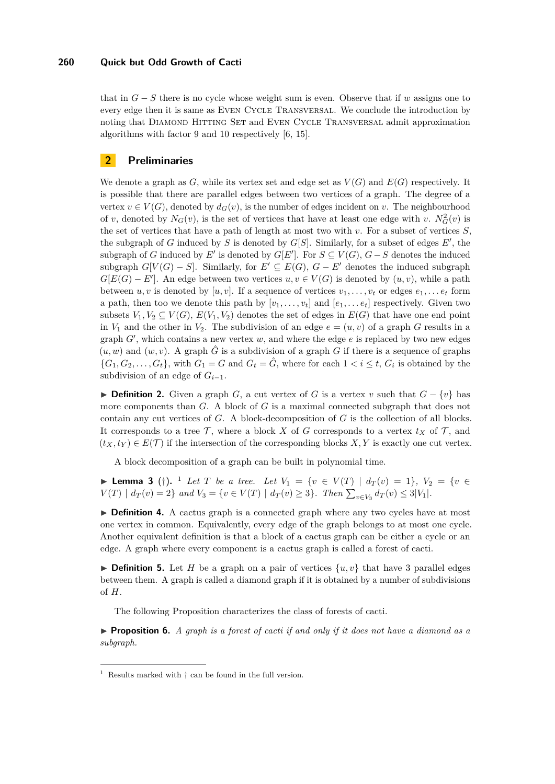### **260 Quick but Odd Growth of Cacti**

that in  $G - S$  there is no cycle whose weight sum is even. Observe that if *w* assigns one to every edge then it is same as Even Cycle Transversal. We conclude the introduction by noting that Diamond Hitting Set and Even Cycle Transversal admit approximation algorithms with factor 9 and 10 respectively [\[6,](#page-11-14) [15\]](#page-11-10).

## **2 Preliminaries**

We denote a graph as  $G$ , while its vertex set and edge set as  $V(G)$  and  $E(G)$  respectively. It is possible that there are parallel edges between two vertices of a graph. The degree of a vertex  $v \in V(G)$ , denoted by  $d_G(v)$ , is the number of edges incident on *v*. The neighbourhood of *v*, denoted by  $N_G(v)$ , is the set of vertices that have at least one edge with *v*.  $N_G^2(v)$  is the set of vertices that have a path of length at most two with *v*. For a subset of vertices *S*, the subgraph of *G* induced by *S* is denoted by  $G[S]$ . Similarly, for a subset of edges  $E'$ , the subgraph of *G* induced by *E'* is denoted by  $G[E']$ . For  $S \subseteq V(G)$ ,  $G - S$  denotes the induced subgraph  $G[V(G) - S]$ . Similarly, for  $E' \subseteq E(G)$ ,  $G - E'$  denotes the induced subgraph  $G[E(G) - E']$ . An edge between two vertices  $u, v \in V(G)$  is denoted by  $(u, v)$ , while a path between *u, v* is denoted by [*u, v*]. If a sequence of vertices  $v_1, \ldots, v_t$  or edges  $e_1, \ldots, e_t$  form a path, then too we denote this path by  $[v_1, \ldots, v_t]$  and  $[e_1, \ldots, e_t]$  respectively. Given two subsets  $V_1, V_2 \subseteq V(G), E(V_1, V_2)$  denotes the set of edges in  $E(G)$  that have one end point in  $V_1$  and the other in  $V_2$ . The subdivision of an edge  $e = (u, v)$  of a graph *G* results in a graph  $G'$ , which contains a new vertex  $w$ , and where the edge  $e$  is replaced by two new edges  $(u, w)$  and  $(w, v)$ . A graph  $\hat{G}$  is a subdivision of a graph *G* if there is a sequence of graphs  ${G_1, G_2, \ldots, G_t}$ , with  $G_1 = G$  and  $G_t = \hat{G}$ , where for each  $1 < i \leq t$ ,  $G_i$  is obtained by the subdivision of an edge of  $G_{i-1}$ .

**▶ Definition 2.** Given a graph *G*, a cut vertex of *G* is a vertex *v* such that  $G - \{v\}$  has more components than *G*. A block of *G* is a maximal connected subgraph that does not contain any cut vertices of *G*. A block-decomposition of *G* is the collection of all blocks. It corresponds to a tree  $\mathcal T$ , where a block *X* of *G* corresponds to a vertex  $t_X$  of  $\mathcal T$ , and  $(t_X, t_Y) \in E(\mathcal{T})$  if the intersection of the corresponding blocks X, Y is exactly one cut vertex.

A block decomposition of a graph can be built in polynomial time.

<span id="page-2-1"></span>▶ **Lemma 3** (†). <sup>[1](#page-2-0)</sup> *Let T be a tree. Let*  $V_1 = \{v \in V(T) | d_T(v) = 1\}$ ,  $V_2 = \{v \in V(T) | d_T(v) = 1\}$  $V(T) | d_T(v) = 2$  and  $V_3 = \{v \in V(T) | d_T(v) \ge 3\}$ . Then  $\sum_{v \in V_3} d_T(v) \le 3|V_1|$ .

▶ Definition 4. A cactus graph is a connected graph where any two cycles have at most one vertex in common. Equivalently, every edge of the graph belongs to at most one cycle. Another equivalent definition is that a block of a cactus graph can be either a cycle or an edge. A graph where every component is a cactus graph is called a forest of cacti.

**Definition 5.** Let *H* be a graph on a pair of vertices  $\{u, v\}$  that have 3 parallel edges between them. A graph is called a diamond graph if it is obtained by a number of subdivisions of *H*.

The following Proposition characterizes the class of forests of cacti.

I **Proposition 6.** *A graph is a forest of cacti if and only if it does not have a diamond as a subgraph.*

<span id="page-2-0"></span><sup>&</sup>lt;sup>1</sup> Results marked with  $\dagger$  can be found in the full version.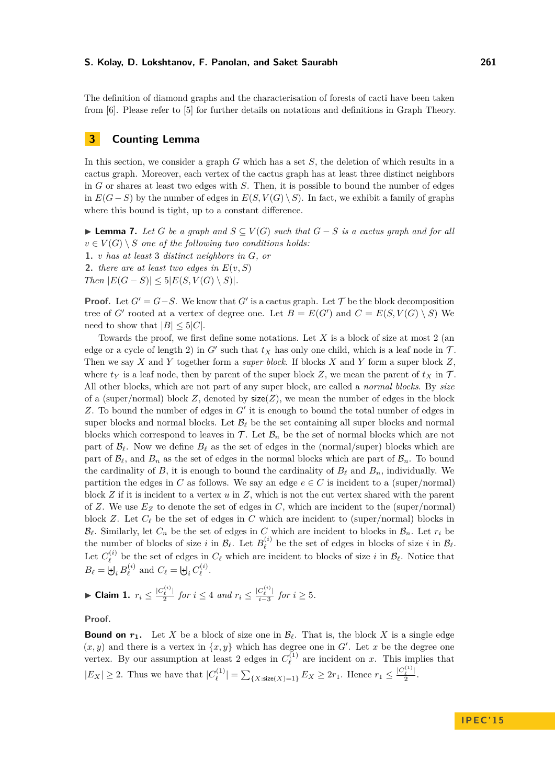The definition of diamond graphs and the characterisation of forests of cacti have been taken from [\[6\]](#page-11-14). Please refer to [\[5\]](#page-11-15) for further details on notations and definitions in Graph Theory.

## **3 Counting Lemma**

In this section, we consider a graph *G* which has a set *S*, the deletion of which results in a cactus graph. Moreover, each vertex of the cactus graph has at least three distinct neighbors in *G* or shares at least two edges with *S*. Then, it is possible to bound the number of edges in  $E(G - S)$  by the number of edges in  $E(S, V(G) \setminus S)$ . In fact, we exhibit a family of graphs where this bound is tight, up to a constant difference.

<span id="page-3-1"></span>► **Lemma 7.** Let *G* be a graph and  $S \subseteq V(G)$  such that  $G - S$  is a cactus graph and for all  $v \in V(G) \setminus S$  *one of the following two conditions holds:* **1.** *v has at least* 3 *distinct neighbors in G, or* **2.** *there are at least two edges in*  $E(v, S)$ 

 $Then$   $|E(G - S)| \leq 5|E(S, V(G) \setminus S)|$ *.* 

**Proof.** Let  $G' = G - S$ . We know that  $G'$  is a cactus graph. Let  $\mathcal T$  be the block decomposition tree of *G*<sup> $\prime$ </sup> rooted at a vertex of degree one. Let  $B = E(G')$  and  $C = E(S, V(G) \setminus S)$  We need to show that  $|B| \leq 5|C|$ .

Towards the proof, we first define some notations. Let *X* is a block of size at most 2 (an edge or a cycle of length 2) in  $G'$  such that  $t_X$  has only one child, which is a leaf node in  $\mathcal{T}$ . Then we say *X* and *Y* together form a *super block*. If blocks *X* and *Y* form a super block *Z*, where  $t_Y$  is a leaf node, then by parent of the super block  $Z$ , we mean the parent of  $t_X$  in  $T$ . All other blocks, which are not part of any super block, are called a *normal blocks*. By *size* of a (super/normal) block  $Z$ , denoted by  $size(Z)$ , we mean the number of edges in the block Z. To bound the number of edges in  $G'$  it is enough to bound the total number of edges in super blocks and normal blocks. Let  $\mathcal{B}_\ell$  be the set containing all super blocks and normal blocks which correspond to leaves in  $\mathcal T$ . Let  $\mathcal B_n$  be the set of normal blocks which are not part of  $\mathcal{B}_\ell$ . Now we define  $B_\ell$  as the set of edges in the (normal/super) blocks which are part of  $\mathcal{B}_\ell$ , and  $B_n$  as the set of edges in the normal blocks which are part of  $\mathcal{B}_n$ . To bound the cardinality of *B*, it is enough to bound the cardinality of  $B_\ell$  and  $B_n$ , individually. We partition the edges in *C* as follows. We say an edge  $e \in C$  is incident to a (super/normal) block *Z* if it is incident to a vertex *u* in *Z*, which is not the cut vertex shared with the parent of *Z*. We use *E<sup>Z</sup>* to denote the set of edges in *C*, which are incident to the (super/normal) block *Z*. Let  $C_{\ell}$  be the set of edges in *C* which are incident to (super/normal) blocks in  $B_\ell$ . Similarly, let  $C_n$  be the set of edges in *C* which are incident to blocks in  $B_n$ . Let  $r_i$  be the number of blocks of size *i* in  $\mathcal{B}_{\ell}$ . Let  $B_{\ell}^{(i)}$  $\mathcal{B}_{\ell}^{(i)}$  be the set of edges in blocks of size *i* in  $\mathcal{B}_{\ell}$ . Let  $C^{(i)}_\ell$  $\mathcal{C}_{\ell}^{(i)}$  be the set of edges in  $C_{\ell}$  which are incident to blocks of size *i* in  $\mathcal{B}_{\ell}$ . Notice that  $B_{\ell} = \biguplus_i B_{\ell}^{(i)}$  $C_{\ell}^{(i)}$  and  $C_{\ell} = \biguplus_i C_{\ell}^{(i)}$  $\stackrel{\scriptscriptstyle (i)}{\ell}$ .

<span id="page-3-0"></span>▶ Claim 1.  $r_i \leq \frac{|C_{\ell}^{(i)}|}{2}$  $\frac{1}{2}$  *for*  $i \leq 4$  *and*  $r_i \leq \frac{|C_{\ell}^{(i)}|}{i-3}$  $\frac{C_{\ell-1}}{i-3}$  *for*  $i \geq 5$ *.* 

**Proof.**

**Bound on**  $r_1$ . Let X be a block of size one in  $\mathcal{B}_{\ell}$ . That is, the block X is a single edge  $(x, y)$  and there is a vertex in  $\{x, y\}$  which has degree one in *G*<sup> $\prime$ </sup>. Let *x* be the degree one vertex. By our assumption at least 2 edges in  $C_{\ell}^{(1)}$  $\ell^{(1)}$  are incident on *x*. This implies that  $|E_X| \geq 2$ . Thus we have that  $|C_{\ell}^{(1)}|$  $\sum_{\ell}^{(1)}$  | =  $\sum_{\{X: \text{size}(X)=1\}} E_X \geq 2r_1$ . Hence  $r_1 \leq \frac{|C_{\ell}^{(1)}|}{2}$  $rac{\ell}{2}$ .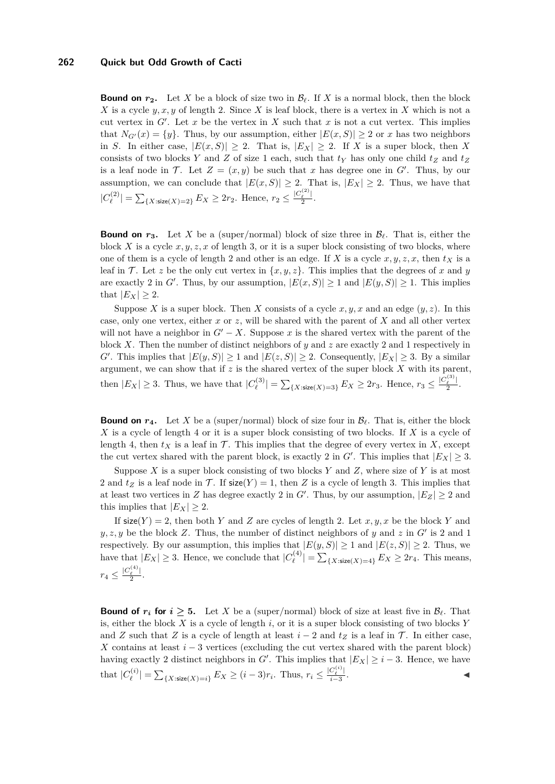#### **262 Quick but Odd Growth of Cacti**

**Bound on**  $r_2$ . Let X be a block of size two in  $\mathcal{B}_{\ell}$ . If X is a normal block, then the block *X* is a cycle  $y, x, y$  of length 2. Since *X* is leaf block, there is a vertex in *X* which is not a cut vertex in  $G'$ . Let  $x$  be the vertex in  $X$  such that  $x$  is not a cut vertex. This implies that  $N_{G'}(x) = \{y\}$ . Thus, by our assumption, either  $|E(x, S)| \ge 2$  or *x* has two neighbors in *S*. In either case,  $|E(x, S)| \geq 2$ . That is,  $|E_X| \geq 2$ . If *X* is a super block, then *X* consists of two blocks *Y* and *Z* of size 1 each, such that  $t<sub>Y</sub>$  has only one child  $t<sub>Z</sub>$  and  $t<sub>Z</sub>$ is a leaf node in T. Let  $Z = (x, y)$  be such that x has degree one in  $G'$ . Thus, by our assumption, we can conclude that  $|E(x, S)| \geq 2$ . That is,  $|E_X| \geq 2$ . Thus, we have that  $|C_{\ell}^{(2)}|$  $\sum_{\ell}^{(2)}$  | =  $\sum_{\{X:\text{size}(X)=2\}} E_X \geq 2r_2$ . Hence,  $r_2 \leq \frac{|C_{\ell}^{(2)}|}{2}$  $rac{\ell}{2}$ .

**Bound on**  $r_3$ . Let X be a (super/normal) block of size three in  $\mathcal{B}_{\ell}$ . That is, either the block *X* is a cycle  $x, y, z, x$  of length 3, or it is a super block consisting of two blocks, where one of them is a cycle of length 2 and other is an edge. If *X* is a cycle  $x, y, z, x$ , then  $t<sub>X</sub>$  is a leaf in  $\mathcal T$ . Let *z* be the only cut vertex in  $\{x, y, z\}$ . This implies that the degrees of *x* and *y* are exactly 2 in *G'*. Thus, by our assumption,  $|E(x, S)| \ge 1$  and  $|E(y, S)| \ge 1$ . This implies that  $|E_X| \geq 2$ .

Suppose *X* is a super block. Then *X* consists of a cycle  $x, y, x$  and an edge  $(y, z)$ . In this case, only one vertex, either *x* or *z*, will be shared with the parent of *X* and all other vertex will not have a neighbor in  $G' - X$ . Suppose x is the shared vertex with the parent of the block *X*. Then the number of distinct neighbors of *y* and *z* are exactly 2 and 1 respectively in *G*<sup> $\ell$ </sup>. This implies that  $|E(y, S)| \geq 1$  and  $|E(z, S)| \geq 2$ . Consequently,  $|E_X| \geq 3$ . By a similar argument, we can show that if *z* is the shared vertex of the super block *X* with its parent, then  $|E_X| \geq 3$ . Thus, we have that  $|C_{\ell}^{(3)}|$  $|f_{\ell}^{(3)}| = \sum_{\{X : \text{size}(X)=3\}} E_X \ge 2r_3.$  Hence,  $r_3 \le \frac{|C_{\ell}^{(3)}|}{2}$  $rac{\ell}{2}$ .

**Bound on**  $r_4$ . Let X be a (super/normal) block of size four in  $\mathcal{B}_{\ell}$ . That is, either the block *X* is a cycle of length 4 or it is a super block consisting of two blocks. If *X* is a cycle of length 4, then  $t_X$  is a leaf in  $\mathcal T$ . This implies that the degree of every vertex in X, except the cut vertex shared with the parent block, is exactly 2 in  $G'$ . This implies that  $|E_X| \geq 3$ .

Suppose  $X$  is a super block consisting of two blocks  $Y$  and  $Z$ , where size of  $Y$  is at most 2 and  $t_Z$  is a leaf node in T. If size(Y) = 1, then Z is a cycle of length 3. This implies that at least two vertices in *Z* has degree exactly 2 in *G'*. Thus, by our assumption,  $|E_Z| \geq 2$  and this implies that  $|E_X| > 2$ .

If  $\text{size}(Y) = 2$ , then both *Y* and *Z* are cycles of length 2. Let *x, y, x* be the block *Y* and  $y, z, y$  be the block *Z*. Thus, the number of distinct neighbors of *y* and *z* in  $G'$  is 2 and 1 respectively. By our assumption, this implies that  $|E(y, S)| \ge 1$  and  $|E(z, S)| \ge 2$ . Thus, we have that  $|E_X| \geq 3$ . Hence, we conclude that  $|C_{\ell}^{(4)}|$  $|e^{(\frac{4}{\ell})}| = \sum_{\{X: \text{size}(X)=4\}} E_X \ge 2r_4$ . This means,  $r_4 \leq \frac{|C_{\ell}^{(4)}|}{2}$  $rac{\ell}{2}$ .

**Bound of**  $r_i$  **for**  $i \geq 5$ **.** Let X be a (super/normal) block of size at least five in  $\mathcal{B}_{\ell}$ . That is, either the block *X* is a cycle of length *i*, or it is a super block consisting of two blocks *Y* and *Z* such that *Z* is a cycle of length at least  $i - 2$  and  $t_Z$  is a leaf in  $\mathcal T$ . In either case, *X* contains at least  $i - 3$  vertices (excluding the cut vertex shared with the parent block) having exactly 2 distinct neighbors in *G'*. This implies that  $|E_X| \geq i - 3$ . Hence, we have that  $|C_{\ell}^{(i)}|$  $\sum_{\ell}^{(i)}$  | =  $\sum_{\{X: \text{size}(X)=i\}} E_X \geq (i-3)r_i$ . Thus,  $r_i \leq \frac{|C_{\ell}^{(i)}|}{i-3}$ *i*−3 . J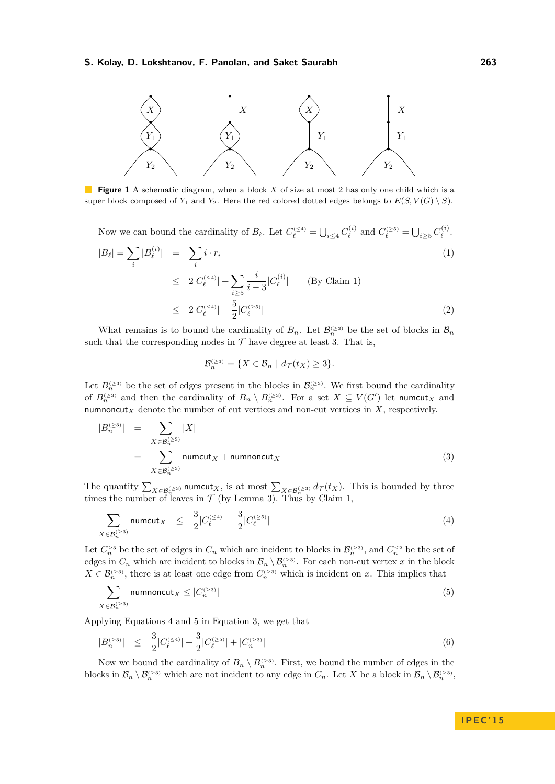<span id="page-5-3"></span>

**Figure 1** A schematic diagram, when a block *X* of size at most 2 has only one child which is a super block composed of  $Y_1$  and  $Y_2$ . Here the red colored dotted edges belongs to  $E(S, V(G) \setminus S)$ .

Now we can bound the cardinality of  $B_{\ell}$ . Let  $C_{\ell}^{(\leq 4)} = \bigcup_{i \leq 4} C_{\ell}^{(i)}$ *i*<sup>(*i*)</sup> and  $C_{\ell}^{(\geq 5)} = \bigcup_{i \geq 5} C_{\ell}^{(i)}$  $\stackrel{\prime\,(\,\,\imath)}{\ell}$ .

<span id="page-5-4"></span>
$$
|B_{\ell}| = \sum_{i} |B_{\ell}^{(i)}| = \sum_{i} i \cdot r_{i}
$$
  
\n
$$
\leq 2|C_{\ell}^{(\leq 4)}| + \sum_{i \geq 5} \frac{i}{i-3} |C_{\ell}^{(i)}| \qquad \text{(By Claim 1)}
$$
  
\n
$$
\leq 2|C_{\ell}^{(\leq 4)}| + \frac{5}{2}|C_{\ell}^{(\geq 5)}| \qquad (2)
$$

What remains is to bound the cardinality of  $B_n$ . Let  $\mathcal{B}_n^{\geq 3}$  be the set of blocks in  $\mathcal{B}_n$ such that the corresponding nodes in  $\mathcal T$  have degree at least 3. That is,

$$
\mathcal{B}_n^{(\geq 3)} = \{ X \in \mathcal{B}_n \mid d_{\mathcal{T}}(t_X) \geq 3 \}.
$$

Let  $B_n^{(\geq 3)}$  be the set of edges present in the blocks in  $\mathcal{B}_n^{(\geq 3)}$ . We first bound the cardinality of  $B_n^{(\geq 3)}$  and then the cardinality of  $B_n \setminus B_n^{(\geq 3)}$ . For a set  $X \subseteq V(G')$  let numcut<sub>X</sub> and numnoncut<sub>*X*</sub> denote the number of cut vertices and non-cut vertices in  $X$ , respectively.

<span id="page-5-2"></span>
$$
|B_n^{(\geq 3)}| = \sum_{X \in \mathcal{B}_n^{(\geq 3)}} |X|
$$
  
= 
$$
\sum_{X \in \mathcal{B}_n^{(\geq 3)}} \text{numcut}_X + \text{numnoncut}_X
$$
 (3)

The quantity  $\sum_{X \in \mathcal{B}_n^{(\geq 3)}} \text{numcut}_X$ , is at most  $\sum_{X \in \mathcal{B}_n^{(\geq 3)}} d_{\mathcal{T}}(t_X)$ . This is bounded by three times the number of leaves in  $\mathcal T$  (by Lemma [3\)](#page-2-1). Thus by Claim [1,](#page-3-0)

<span id="page-5-0"></span>
$$
\sum_{X \in \mathcal{B}_n^{(\geq 3)}} \text{numcut}_X \leq \frac{3}{2} |C_{\ell}^{(\leq 4)}| + \frac{3}{2} |C_{\ell}^{(\geq 5)}| \tag{4}
$$

Let  $C_n^{\geq 3}$  be the set of edges in  $C_n$  which are incident to blocks in  $\mathcal{B}_n^{(\geq 3)}$ , and  $C_n^{\leq 2}$  be the set of edges in  $C_n$  which are incident to blocks in  $\mathcal{B}_n \setminus \mathcal{B}_n^{\leq 3}$ . For each non-cut vertex *x* in the block  $X \in \mathcal{B}_n^{(\geq 3)}$ , there is at least one edge from  $C_n^{(\geq 3)}$  which is incident on *x*. This implies that

<span id="page-5-1"></span>
$$
\sum_{X \in \mathcal{B}_n^{(\ge 3)}} \text{numoncut}_X \le |C_n^{(\ge 3)}| \tag{5}
$$

Applying Equations [4](#page-5-0) and [5](#page-5-1) in Equation [3,](#page-5-2) we get that

<span id="page-5-5"></span>
$$
|B_n^{(\geq 3)}| \leq \frac{3}{2}|C_\ell^{(\leq 4)}| + \frac{3}{2}|C_\ell^{(\geq 5)}| + |C_n^{(\geq 3)}| \tag{6}
$$

Now we bound the cardinality of  $B_n \setminus B_n^{(\geq 3)}$ . First, we bound the number of edges in the blocks in  $\mathcal{B}_n \setminus \mathcal{B}_n^{\leq 3}$  which are not incident to any edge in  $C_n$ . Let X be a block in  $\mathcal{B}_n \setminus \mathcal{B}_n^{\leq 3}$ ,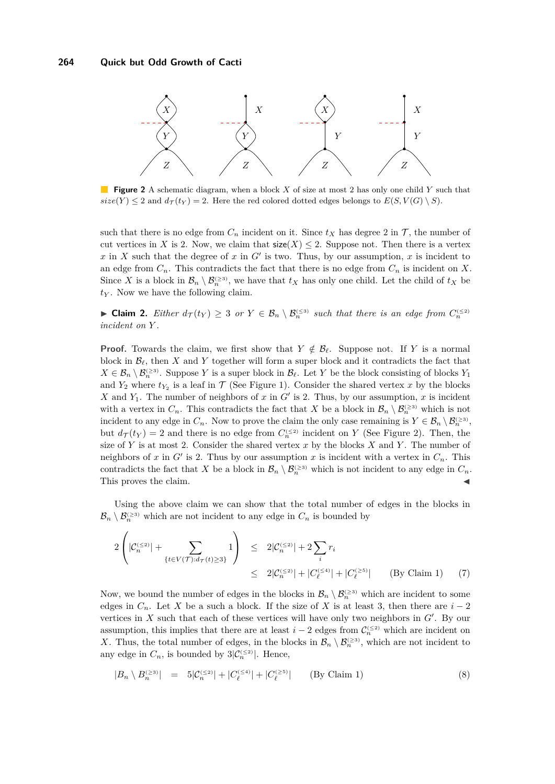<span id="page-6-0"></span>

**Figure 2** A schematic diagram, when a block *X* of size at most 2 has only one child *Y* such that  $size(Y) \leq 2$  and  $d_{\mathcal{T}}(t_Y) = 2$ . Here the red colored dotted edges belongs to  $E(S, V(G) \setminus S)$ .

such that there is no edge from  $C_n$  incident on it. Since  $t_X$  has degree 2 in  $\mathcal{T}$ , the number of cut vertices in *X* is 2. Now, we claim that  $size(X) \leq 2$ . Suppose not. Then there is a vertex  $x$  in  $X$  such that the degree of  $x$  in  $G'$  is two. Thus, by our assumption,  $x$  is incident to an edge from  $C_n$ . This contradicts the fact that there is no edge from  $C_n$  is incident on X. Since *X* is a block in  $\mathcal{B}_n \setminus \mathcal{B}_n^{\leq s}$ , we have that  $t_X$  has only one child. Let the child of  $t_X$  be *t<sup>Y</sup>* . Now we have the following claim.

► **Claim 2.** *Either*  $d_{\tau}(t_Y) \geq 3$  *or*  $Y \in \mathcal{B}_n \setminus \mathcal{B}_n^{\leq 3}$  *such that there is an edge from*  $C_n^{\leq 2}$ *incident on Y .*

**Proof.** Towards the claim, we first show that  $Y \notin \mathcal{B}_{\ell}$ . Suppose not. If *Y* is a normal block in  $\mathcal{B}_{\ell}$ , then *X* and *Y* together will form a super block and it contradicts the fact that  $X \in \mathcal{B}_n \setminus \mathcal{B}_n^{\geq 3}$ . Suppose *Y* is a super block in  $\mathcal{B}_\ell$ . Let *Y* be the block consisting of blocks *Y*<sub>1</sub> and  $Y_2$  where  $t_{Y_2}$  is a leaf in  $\mathcal T$  (See Figure [1\)](#page-5-3). Consider the shared vertex x by the blocks *X* and  $Y_1$ . The number of neighbors of *x* in *G*<sup> $\prime$ </sup> is 2. Thus, by our assumption, *x* is incident with a vertex in  $C_n$ . This contradicts the fact that *X* be a block in  $\mathcal{B}_n \setminus \mathcal{B}_n^{\geq 3}$  which is not incident to any edge in  $C_n$ . Now to prove the claim the only case remaining is  $Y \in \mathcal{B}_n \setminus \mathcal{B}_n^{\geq 3}$ , but  $d_{\mathcal{T}}(t_Y) = 2$  and there is no edge from  $C_n^{(\leq 2)}$  $C_n^{(\leq 2)}$  $C_n^{(\leq 2)}$  incident on *Y* (See Figure 2). Then, the size of *Y* is at most 2. Consider the shared vertex *x* by the blocks *X* and *Y* . The number of neighbors of *x* in  $G'$  is 2. Thus by our assumption *x* is incident with a vertex in  $C_n$ . This contradicts the fact that *X* be a block in  $\mathcal{B}_n \setminus \mathcal{B}_n^{\geq 3}$  which is not incident to any edge in  $C_n$ . This proves the claim.  $\blacksquare$ 

Using the above claim we can show that the total number of edges in the blocks in  $\mathcal{B}_n \setminus \mathcal{B}_n^{\leq 3}$  which are not incident to any edge in  $C_n$  is bounded by

$$
2\left(|\mathcal{C}_n^{(\leq 2)}| + \sum_{\{t \in V(\mathcal{T}): d_{\mathcal{T}}(t) \geq 3\}} 1\right) \leq 2|\mathcal{C}_n^{(\leq 2)}| + 2\sum_{i} r_i
$$
  
 
$$
\leq 2|\mathcal{C}_n^{(\leq 2)}| + |\mathcal{C}_\ell^{(\leq 4)}| + |\mathcal{C}_\ell^{(\geq 5)}| \qquad \text{(By Claim 1)} \qquad (7)
$$

Now, we bound the number of edges in the blocks in  $\mathcal{B}_n \setminus \mathcal{B}_n^{\geq 3}$  which are incident to some edges in  $C_n$ . Let *X* be a such a block. If the size of *X* is at least 3, then there are  $i-2$ vertices in  $X$  such that each of these vertices will have only two neighbors in  $G'$ . By our assumption, this implies that there are at least  $i-2$  edges from  $\mathcal{C}_n^{(\leq 2)}$  which are incident on X. Thus, the total number of edges, in the blocks in  $\mathcal{B}_n \setminus \mathcal{B}_n^{\geq 3}$ , which are not incident to any edge in  $C_n$ , is bounded by  $3|\mathcal{C}_n^{(\leq 2)}|$ . Hence,

<span id="page-6-1"></span>
$$
|B_n \setminus B_n^{(\ge 3)}| = 5|C_n^{(\le 2)}| + |C_\ell^{(\le 4)}| + |C_\ell^{(\ge 5)}| \qquad \text{(By Claim 1)}
$$
 (8)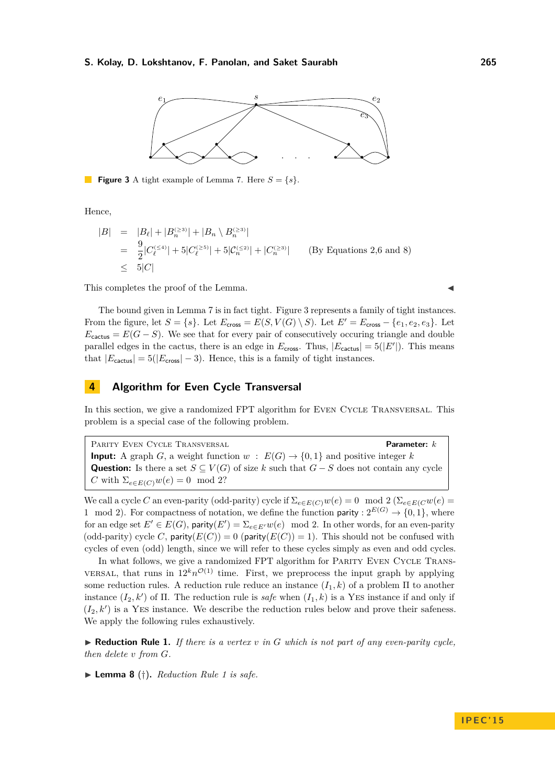<span id="page-7-0"></span>

**Figure 3** A tight example of Lemma [7.](#page-3-1) Here  $S = \{s\}.$ 

Hence,

$$
|B| = |B_{\ell}| + |B_{n}^{(\geq 3)}| + |B_{n} \setminus B_{n}^{(\geq 3)}|
$$
  
= 
$$
\frac{9}{2}|C_{\ell}^{(\leq 4)}| + 5|C_{\ell}^{(\geq 5)}| + 5|C_{n}^{(\leq 2)}| + |C_{n}^{(\geq 3)}|
$$
 (By Equations 2,6 and 8)  

$$
\leq 5|C|
$$

This completes the proof of the Lemma.

The bound given in Lemma [7](#page-3-1) is in fact tight. Figure [3](#page-7-0) represents a family of tight instances. From the figure, let  $S = \{s\}$ . Let  $E_{\text{cross}} = E(S, V(G) \setminus S)$ . Let  $E' = E_{\text{cross}} - \{e_1, e_2, e_3\}$ . Let  $E_{\text{cactus}} = E(G - S)$ . We see that for every pair of consecutively occuring triangle and double parallel edges in the cactus, there is an edge in  $E_{\text{cross}}$ . Thus,  $|E_{\text{cactus}}| = 5(|E'|)$ . This means that  $|E_{\text{cactus}}| = 5(|E_{\text{cross}}| - 3)$ . Hence, this is a family of tight instances.

## **4 Algorithm for Even Cycle Transversal**

In this section, we give a randomized FPT algorithm for EVEN CYCLE TRANSVERSAL. This problem is a special case of the following problem.

Parity Even Cycle Transversal **Parameter:** *k* **Input:** A graph *G*, a weight function *w* :  $E(G) \rightarrow \{0, 1\}$  and positive integer *k* **Question:** Is there a set  $S \subseteq V(G)$  of size *k* such that  $G - S$  does not contain any cycle *C* with  $\Sigma_{e \in E(C)} w(e) = 0 \mod 2$ ?

We call a cycle *C* an even-parity (odd-parity) cycle if  $\Sigma_{e \in E(C)} w(e) = 0 \mod 2$  ( $\Sigma_{e \in E(C)} w(e) = 0$ 1 mod 2). For compactness of notation, we define the function parity :  $2^{E(G)} \rightarrow \{0,1\}$ , where for an edge set  $E' \in E(G)$ , parity $(E') = \sum_{e \in E'} w(e) \mod 2$ . In other words, for an even-parity (odd-parity) cycle *C*, parity( $E(C)$ ) = 0 (parity( $E(C)$ ) = 1). This should not be confused with cycles of even (odd) length, since we will refer to these cycles simply as even and odd cycles.

In what follows, we give a randomized FPT algorithm for PARITY EVEN CYCLE TRANSversal, that runs in  $12^k n^{\mathcal{O}(1)}$  time. First, we preprocess the input graph by applying some reduction rules. A reduction rule reduce an instance  $(I_1, k)$  of a problem  $\Pi$  to another instance  $(I_2, k')$  of  $\Pi$ . The reduction rule is *safe* when  $(I_1, k)$  is a YES instance if and only if  $(I_2, k')$  is a YES instance. We describe the reduction rules below and prove their safeness. We apply the following rules exhaustively.

<span id="page-7-1"></span> $\blacktriangleright$  **Reduction Rule 1.** *If there is a vertex v in G* which is not part of any even-parity cycle, *then delete v from G.*

▶ **Lemma 8** (†). *Reduction Rule [1](#page-7-1) is safe.*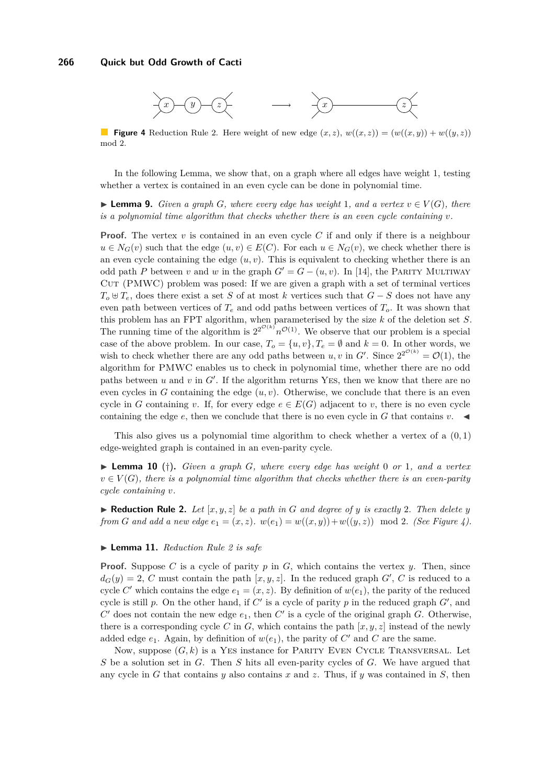<span id="page-8-1"></span>

**Figure 4** Reduction Rule [2.](#page-8-0) Here weight of new edge  $(x, z)$ ,  $w((x, z)) = (w((x, y)) + w((y, z))$ mod 2.

In the following Lemma, we show that, on a graph where all edges have weight 1, testing whether a vertex is contained in an even cycle can be done in polynomial time.

▶ **Lemma 9.** *Given a graph G, where every edge has weight* 1*, and a vertex*  $v \in V(G)$ *, there is a polynomial time algorithm that checks whether there is an even cycle containing*  $v$ *.* 

**Proof.** The vertex *v* is contained in an even cycle *C* if and only if there is a neighbour  $u \in N_G(v)$  such that the edge  $(u, v) \in E(C)$ . For each  $u \in N_G(v)$ , we check whether there is an even cycle containing the edge  $(u, v)$ . This is equivalent to checking whether there is an odd path *P* between *v* and *w* in the graph  $G' = G - (u, v)$ . In [\[14\]](#page-11-16), the PARITY MULTIWAY CUT (PMWC) problem was posed: If we are given a graph with a set of terminal vertices  $T_o \oplus T_e$ , does there exist a set *S* of at most *k* vertices such that  $G-S$  does not have any even path between vertices of  $T_e$  and odd paths between vertices of  $T_o$ . It was shown that this problem has an FPT algorithm, when parameterised by the size *k* of the deletion set *S*. The running time of the algorithm is  $2^{2^{\mathcal{O}(k)}} n^{\mathcal{O}(1)}$ . We observe that our problem is a special case of the above problem. In our case,  $T_o = \{u, v\}$ ,  $T_e = \emptyset$  and  $k = 0$ . In other words, we wish to check whether there are any odd paths between  $u, v$  in  $G'$ . Since  $2^{2^{\mathcal{O}(k)}} = \mathcal{O}(1)$ , the algorithm for PMWC enables us to check in polynomial time, whether there are no odd paths between  $u$  and  $v$  in  $G'$ . If the algorithm returns YES, then we know that there are no even cycles in *G* containing the edge  $(u, v)$ . Otherwise, we conclude that there is an even cycle in *G* containing *v*. If, for every edge  $e \in E(G)$  adjacent to *v*, there is no even cycle containing the edge  $e$ , then we conclude that there is no even cycle in  $G$  that contains  $v$ .

This also gives us a polynomial time algorithm to check whether a vertex of a (0*,* 1) edge-weighted graph is contained in an even-parity cycle.

 $\blacktriangleright$  **Lemma 10** (†). *Given a graph G, where every edge has weight* 0 *or* 1*, and a vertex*  $v \in V(G)$ , there is a polynomial time algorithm that checks whether there is an even-parity *cycle containing v.*

<span id="page-8-0"></span> $\blacktriangleright$  **Reduction Rule 2.** Let  $[x, y, z]$  be a path in G and degree of y is exactly 2. Then delete y *from G* and add a new edge  $e_1 = (x, z)$ *.*  $w(e_1) = w((x, y)) + w((y, z)) \mod 2$ *.* (See Figure [4\)](#page-8-1).

#### ▶ **Lemma 11.** *Reduction Rule [2](#page-8-0) is safe*

**Proof.** Suppose *C* is a cycle of parity *p* in *G*, which contains the vertex *y*. Then, since  $d_G(y) = 2$ , *C* must contain the path  $[x, y, z]$ . In the reduced graph *G*<sup>*'*</sup>, *C* is reduced to a cycle *C'* which contains the edge  $e_1 = (x, z)$ . By definition of  $w(e_1)$ , the parity of the reduced cycle is still p. On the other hand, if  $C'$  is a cycle of parity p in the reduced graph  $G'$ , and  $C'$  does not contain the new edge  $e_1$ , then  $C'$  is a cycle of the original graph  $G$ . Otherwise, there is a corresponding cycle *C* in *G*, which contains the path  $[x, y, z]$  instead of the newly added edge  $e_1$ . Again, by definition of  $w(e_1)$ , the parity of  $C'$  and  $C$  are the same.

Now, suppose  $(G, k)$  is a YES instance for PARITY EVEN CYCLE TRANSVERSAL. Let *S* be a solution set in *G*. Then *S* hits all even-parity cycles of *G*. We have argued that any cycle in *G* that contains *y* also contains *x* and *z*. Thus, if *y* was contained in *S*, then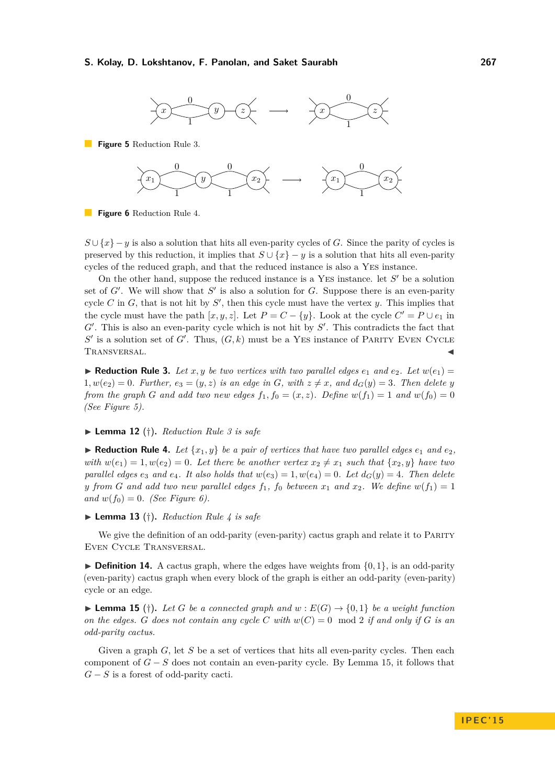<span id="page-9-2"></span>

<span id="page-9-3"></span>**Figure 5** Reduction Rule [3.](#page-9-0)



**Figure 6** Reduction Rule [4.](#page-9-1)

 $S \cup \{x\} - y$  is also a solution that hits all even-parity cycles of *G*. Since the parity of cycles is preserved by this reduction, it implies that  $S \cup \{x\} - y$  is a solution that hits all even-parity cycles of the reduced graph, and that the reduced instance is also a Yes instance.

On the other hand, suppose the reduced instance is a YES instance. let  $S'$  be a solution set of  $G'$ . We will show that  $S'$  is also a solution for  $G$ . Suppose there is an even-parity cycle  $C$  in  $G$ , that is not hit by  $S'$ , then this cycle must have the vertex  $y$ . This implies that the cycle must have the path  $[x, y, z]$ . Let  $P = C - \{y\}$ . Look at the cycle  $C' = P \cup e_1$  in  $G'$ . This is also an even-parity cycle which is not hit by  $S'$ . This contradicts the fact that  $S'$  is a solution set of  $G'$ . Thus,  $(G, k)$  must be a YES instance of PARITY EVEN CYCLE TRANSVERSAL.

<span id="page-9-0"></span> $\blacktriangleright$  **Reduction Rule 3.** Let x, y be two vertices with two parallel edges  $e_1$  and  $e_2$ . Let  $w(e_1)$  =  $1, w(e_2) = 0$ *. Further,*  $e_3 = (y, z)$  *is an edge in G, with*  $z \neq x$ *, and*  $d_G(y) = 3$ *. Then delete y from the graph G and add two new edges*  $f_1$ ,  $f_0 = (x, z)$ *. Define*  $w(f_1) = 1$  *and*  $w(f_0) = 0$ *(See Figure [5\)](#page-9-2).*

#### I **Lemma 12** (†)**.** *Reduction Rule [3](#page-9-0) is safe*

<span id="page-9-1"></span> $\blacktriangleright$  **Reduction Rule 4.** Let  $\{x_1, y\}$  be a pair of vertices that have two parallel edges  $e_1$  and  $e_2$ , *with*  $w(e_1) = 1, w(e_2) = 0$ . Let there be another vertex  $x_2 \neq x_1$  such that  $\{x_2, y\}$  have two *parallel edges*  $e_3$  *and*  $e_4$ *. It also holds that*  $w(e_3) = 1, w(e_4) = 0$ *. Let*  $d_G(y) = 4$ *. Then delete y from G and add two new parallel edges*  $f_1$ ,  $f_0$  *between*  $x_1$  *and*  $x_2$ *. We define*  $w(f_1) = 1$  $and w(f_0) = 0.$  *(See Figure [6\)](#page-9-3)*.

#### $\blacktriangleright$  **Lemma 13** (†). *Reduction Rule [4](#page-9-1) is safe*

We give the definition of an odd-parity (even-parity) cactus graph and relate it to PARITY Even Cycle Transversal.

 $\triangleright$  **Definition 14.** A cactus graph, where the edges have weights from  $\{0, 1\}$ , is an odd-parity (even-parity) cactus graph when every block of the graph is either an odd-parity (even-parity) cycle or an edge.

<span id="page-9-4"></span> $\blacktriangleright$  **Lemma 15** (†). Let *G* be a connected graph and  $w : E(G) \rightarrow \{0, 1\}$  be a weight function *on the edges. G does not contain any cycle C* with  $w(C) = 0$  mod 2 *if and only if G is an odd-parity cactus.*

Given a graph *G*, let *S* be a set of vertices that hits all even-parity cycles. Then each component of *G* − *S* does not contain an even-parity cycle. By Lemma [15,](#page-9-4) it follows that *G* − *S* is a forest of odd-parity cacti.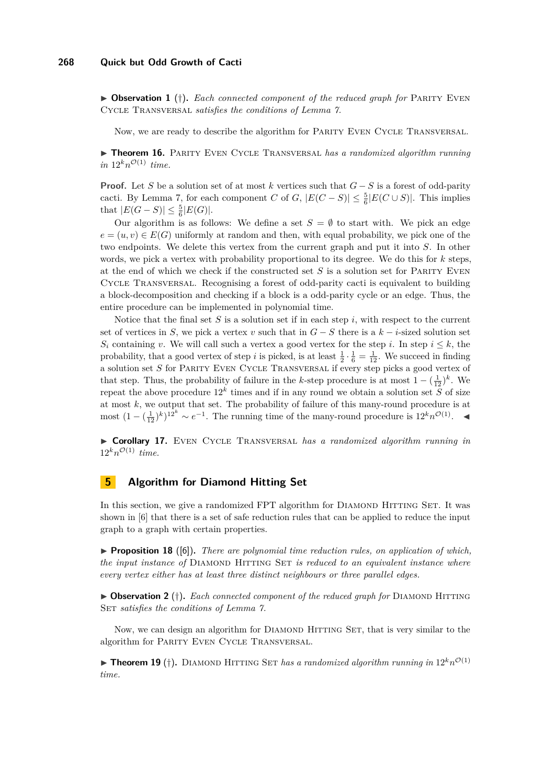▶ Observation 1 (†). *Each connected component of the reduced graph for* PARITY EVEN Cycle Transversal *satisfies the conditions of Lemma [7.](#page-3-1)*

Now, we are ready to describe the algorithm for Parity Even Cycle Transversal.

▶ **Theorem 16.** PARITY EVEN CYCLE TRANSVERSAL *has a randomized algorithm running*  $in 12^k n^{\mathcal{O}(1)}$  *time.* 

**Proof.** Let *S* be a solution set of at most *k* vertices such that *G* − *S* is a forest of odd-parity cacti. By Lemma [7,](#page-3-1) for each component *C* of *G*,  $|E(C - S)| \le \frac{5}{6}|E(C \cup S)|$ . This implies that  $|E(G - S)| \leq \frac{5}{6}|E(G)|$ .

Our algorithm is as follows: We define a set  $S = \emptyset$  to start with. We pick an edge  $e = (u, v) \in E(G)$  uniformly at random and then, with equal probability, we pick one of the two endpoints. We delete this vertex from the current graph and put it into *S*. In other words, we pick a vertex with probability proportional to its degree. We do this for *k* steps, at the end of which we check if the constructed set *S* is a solution set for Parity Even Cycle Transversal. Recognising a forest of odd-parity cacti is equivalent to building a block-decomposition and checking if a block is a odd-parity cycle or an edge. Thus, the entire procedure can be implemented in polynomial time.

Notice that the final set *S* is a solution set if in each step *i*, with respect to the current set of vertices in *S*, we pick a vertex *v* such that in  $G - S$  there is a  $k - i$ -sized solution set *S<sub>i</sub>* containing *v*. We will call such a vertex a good vertex for the step *i*. In step  $i \leq k$ , the probability, that a good vertex of step *i* is picked, is at least  $\frac{1}{2} \cdot \frac{1}{6} = \frac{1}{12}$ . We succeed in finding a solution set *S* for Parity Even Cycle Transversal if every step picks a good vertex of that step. Thus, the probability of failure in the *k*-step procedure is at most  $1 - (\frac{1}{12})^k$ . We repeat the above procedure  $12^k$  times and if in any round we obtain a solution set *S* of size at most *k*, we output that set. The probability of failure of this many-round procedure is at most  $(1 - (\frac{1}{12})^k)^{12^k} \sim e^{-1}$ . The running time of the many-round procedure is  $12^k n^{\mathcal{O}(1)}$ . ◄

▶ Corollary 17. EVEN CYCLE TRANSVERSAL *has a randomized algorithm running in*  $12^k n^{\mathcal{O}(1)}$  *time.* 

## **5 Algorithm for Diamond Hitting Set**

In this section, we give a randomized FPT algorithm for DIAMOND HITTING SET. It was shown in [\[6\]](#page-11-14) that there is a set of safe reduction rules that can be applied to reduce the input graph to a graph with certain properties.

**Proposition 18** ([\[6\]](#page-11-14)). *There are polynomial time reduction rules, on application of which, the input instance of* DIAMOND HITTING SET *is reduced to an equivalent instance where every vertex either has at least three distinct neighbours or three parallel edges.*

▶ Observation 2 (†). *Each connected component of the reduced graph for* DIAMOND HITTING SET *satisfies the conditions of Lemma*  $\tilde{ }$ .

Now, we can design an algorithm for DIAMOND HITTING SET, that is very similar to the algorithm for Parity Even Cycle Transversal.

**Fheorem 19** (†). DIAMOND HITTING SET *has a randomized algorithm running in*  $12^k n^{\mathcal{O}(1)}$ *time.*